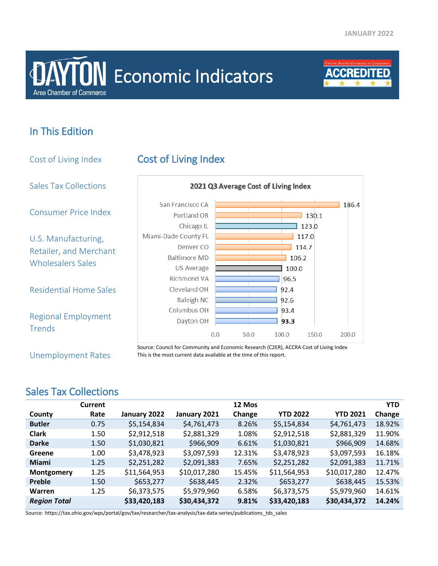# **Area Chamber of Commerce DAYTON** Economic Indicators



## In This Edition

Cost of Living Index Cost of Living Index Sales Tax Collections 2021 Q3 Average Cost of Living Index San Francisco CA 186.4 Consumer Price Index Portland OR  $130.1$ Chicago IL  $\overline{\phantom{0}}$  123.0 Miami-Dade County FL  $\overline{$  117.0 U.S. Manufacturing, Denver CO  $114.7$ Retailer, and Merchant **Baltimore MD** 106.2 Wholesalers Sales US Average 100.0 Richmond VA 96.5 Residential Home Sales Cleveland OH 92.4 Raleigh NC 92.6 Columbus OH 93.4 Regional Employment Dayton OH 93.3 Trends  $0.0 50.0 100.0 150.0 200.0$  Source: Council for Community and Economic Research (C2ER), ACCRA Cost of Living Index

Unemployment Rates

This is the most current data available at the time of this report.

### Sales Tax Collections

|                     | Current |              |              | 12 Mos |                 |                 | <b>YTD</b> |
|---------------------|---------|--------------|--------------|--------|-----------------|-----------------|------------|
| County              | Rate    | January 2022 | January 2021 | Change | <b>YTD 2022</b> | <b>YTD 2021</b> | Change     |
| <b>Butler</b>       | 0.75    | \$5,154,834  | \$4,761,473  | 8.26%  | \$5,154,834     | \$4,761,473     | 18.92%     |
| <b>Clark</b>        | 1.50    | \$2,912,518  | \$2,881,329  | 1.08%  | \$2,912,518     | \$2,881,329     | 11.90%     |
| <b>Darke</b>        | 1.50    | \$1,030,821  | \$966,909    | 6.61%  | \$1,030,821     | \$966,909       | 14.68%     |
| Greene              | 1.00    | \$3,478,923  | \$3,097,593  | 12.31% | \$3,478,923     | \$3,097,593     | 16.18%     |
| <b>Miami</b>        | 1.25    | \$2,251,282  | \$2,091,383  | 7.65%  | \$2,251,282     | \$2,091,383     | 11.71%     |
| Montgomery          | 1.25    | \$11,564,953 | \$10,017,280 | 15.45% | \$11,564,953    | \$10,017,280    | 12.47%     |
| Preble              | 1.50    | \$653,277    | \$638,445    | 2.32%  | \$653,277       | \$638,445       | 15.53%     |
| <b>Warren</b>       | 1.25    | \$6,373,575  | \$5,979,960  | 6.58%  | \$6,373,575     | \$5,979,960     | 14.61%     |
| <b>Region Total</b> |         | \$33,420,183 | \$30,434,372 | 9.81%  | \$33,420,183    | \$30,434,372    | 14.24%     |

Source: https://tax.ohio.gov/wps/portal/gov/tax/researcher/tax-analysis/tax-data-series/publications\_tds\_sales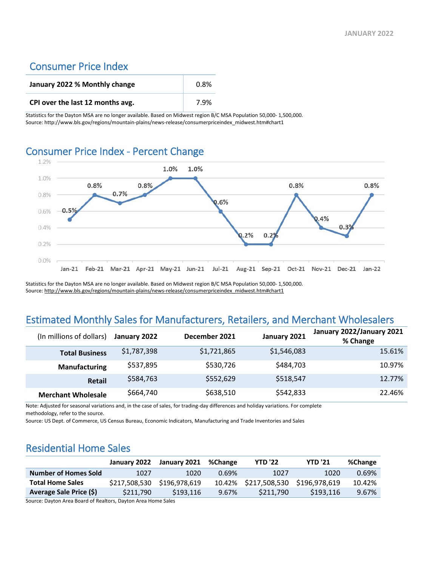### Consumer Price Index

| January 2022 % Monthly change    | 0.8% |
|----------------------------------|------|
| CPI over the last 12 months avg. | 7.9% |

Statistics for the Dayton MSA are no longer available. Based on Midwest region B/C MSA Population 50,000- 1,500,000. Source: http://www.bls.gov/regions/mountain-plains/news-release/consumerpriceindex\_midwest.htm#chart1

# Consumer Price Index - Percent Change



Statistics for the Dayton MSA are no longer available. Based on Midwest region B/C MSA Population 50,000- 1,500,000. Source[: http://www.bls.gov/regions/mountain-plains/news-release/consumerpriceindex\\_midwest.htm#chart1](http://www.bls.gov/regions/mountain-plains/news-release/consumerpriceindex_midwest.htm#chart1)

### Estimated Monthly Sales for Manufacturers, Retailers, and Merchant Wholesalers

| (In millions of dollars)  | January 2022 | December 2021 | January 2021 | January 2022/January 2021<br>% Change |
|---------------------------|--------------|---------------|--------------|---------------------------------------|
| <b>Total Business</b>     | \$1,787,398  | \$1,721,865   | \$1,546,083  | 15.61%                                |
| <b>Manufacturing</b>      | \$537,895    | \$530,726     | \$484,703    | 10.97%                                |
| Retail                    | \$584,763    | \$552,629     | \$518,547    | 12.77%                                |
| <b>Merchant Wholesale</b> | \$664,740    | \$638,510     | \$542,833    | 22.46%                                |

Note: Adjusted for seasonal variations and, in the case of sales, for trading-day differences and holiday variations. For complete methodology, refer to the source.

Source: US Dept. of Commerce, US Census Bureau, Economic Indicators, Manufacturing and Trade Inventories and Sales

### Residential Home Sales

|                             | January 2022  | January 2021  | %Change | <b>YTD '22</b> | <b>YTD '21</b> | %Change |
|-----------------------------|---------------|---------------|---------|----------------|----------------|---------|
| <b>Number of Homes Sold</b> | 1027          | 1020          | 0.69%   | 1027           | 1020           | 0.69%   |
| <b>Total Home Sales</b>     | \$217,508,530 | \$196,978,619 | 10.42%  | \$217,508,530  | \$196,978,619  | 10.42%  |
| Average Sale Price (\$)     | \$211,790     | \$193.116     | 9.67%   | \$211.790      | \$193,116      | 9.67%   |

Source: Dayton Area Board of Realtors, Dayton Area Home Sales